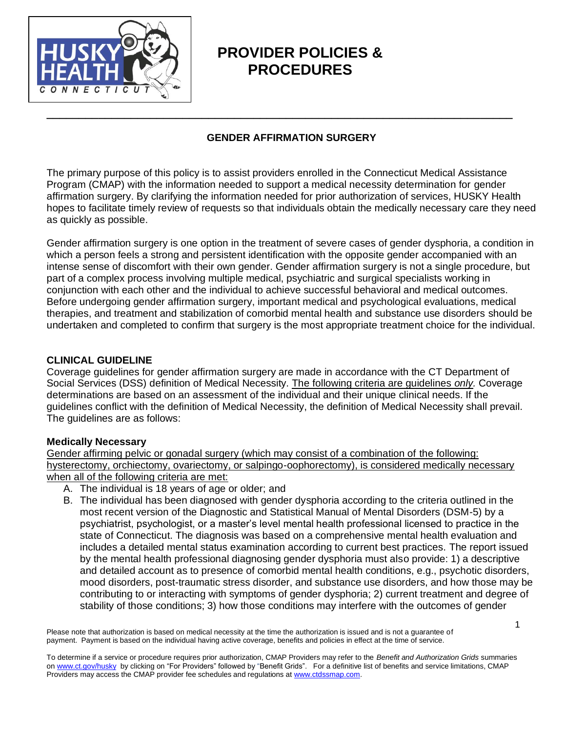

# **PROVIDER POLICIES & PROCEDURES**

# **GENDER AFFIRMATION SURGERY**

**\_\_\_\_\_\_\_\_\_\_\_\_\_\_\_\_\_\_\_\_\_\_\_\_\_\_\_\_\_\_\_\_\_\_\_\_\_\_\_\_\_\_\_\_\_\_\_\_\_\_\_\_\_\_\_\_\_\_\_\_\_\_\_\_\_\_\_\_\_\_\_\_**

The primary purpose of this policy is to assist providers enrolled in the Connecticut Medical Assistance Program (CMAP) with the information needed to support a medical necessity determination for gender affirmation surgery. By clarifying the information needed for prior authorization of services, HUSKY Health hopes to facilitate timely review of requests so that individuals obtain the medically necessary care they need as quickly as possible.

Gender affirmation surgery is one option in the treatment of severe cases of gender dysphoria, a condition in which a person feels a strong and persistent identification with the opposite gender accompanied with an intense sense of discomfort with their own gender. Gender affirmation surgery is not a single procedure, but part of a complex process involving multiple medical, psychiatric and surgical specialists working in conjunction with each other and the individual to achieve successful behavioral and medical outcomes. Before undergoing gender affirmation surgery, important medical and psychological evaluations, medical therapies, and treatment and stabilization of comorbid mental health and substance use disorders should be undertaken and completed to confirm that surgery is the most appropriate treatment choice for the individual.

## **CLINICAL GUIDELINE**

Coverage guidelines for gender affirmation surgery are made in accordance with the CT Department of Social Services (DSS) definition of Medical Necessity. The following criteria are guidelines *only.* Coverage determinations are based on an assessment of the individual and their unique clinical needs. If the guidelines conflict with the definition of Medical Necessity, the definition of Medical Necessity shall prevail. The guidelines are as follows:

#### **Medically Necessary**

Gender affirming pelvic or gonadal surgery (which may consist of a combination of the following: hysterectomy, orchiectomy, ovariectomy, or salpingo-oophorectomy), is considered medically necessary when all of the following criteria are met:

- A. The individual is 18 years of age or older; and
- B. The individual has been diagnosed with gender dysphoria according to the criteria outlined in the most recent version of the Diagnostic and Statistical Manual of Mental Disorders (DSM-5) by a psychiatrist, psychologist, or a master's level mental health professional licensed to practice in the state of Connecticut. The diagnosis was based on a comprehensive mental health evaluation and includes a detailed mental status examination according to current best practices. The report issued by the mental health professional diagnosing gender dysphoria must also provide: 1) a descriptive and detailed account as to presence of comorbid mental health conditions, e.g., psychotic disorders, mood disorders, post-traumatic stress disorder, and substance use disorders, and how those may be contributing to or interacting with symptoms of gender dysphoria; 2) current treatment and degree of stability of those conditions; 3) how those conditions may interfere with the outcomes of gender

Please note that authorization is based on medical necessity at the time the authorization is issued and is not a guarantee of payment. Payment is based on the individual having active coverage, benefits and policies in effect at the time of service.

To determine if a service or procedure requires prior authorization, CMAP Providers may refer to the *Benefit and Authorization Grids* summaries o[n www.ct.gov/husky](http://www.ct.gov/husky) by clickin[g on](http://www.huskyhealthct.org/providers/benefits_authorizations.html) "For Providers" followed by "Benefit Grids". For a definitive list of benefits and service limitations, CMAP Providers may access the CMAP provider fee schedules and regulations at [www.ctdssmap.com.](http://www.ctdssmap.com/)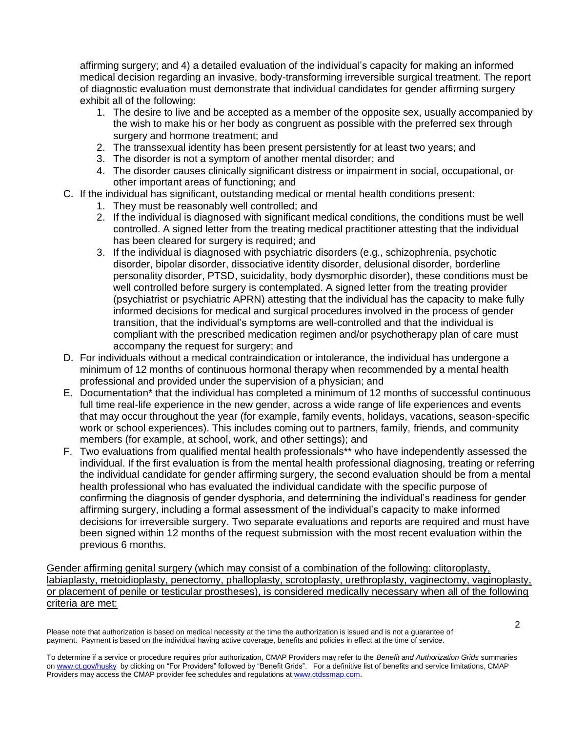affirming surgery; and 4) a detailed evaluation of the individual's capacity for making an informed medical decision regarding an invasive, body-transforming irreversible surgical treatment. The report of diagnostic evaluation must demonstrate that individual candidates for gender affirming surgery exhibit all of the following:

- 1. The desire to live and be accepted as a member of the opposite sex, usually accompanied by the wish to make his or her body as congruent as possible with the preferred sex through surgery and hormone treatment; and
- 2. The transsexual identity has been present persistently for at least two years; and
- 3. The disorder is not a symptom of another mental disorder; and
- 4. The disorder causes clinically significant distress or impairment in social, occupational, or other important areas of functioning; and
- C. If the individual has significant, outstanding medical or mental health conditions present:
	- 1. They must be reasonably well controlled; and
	- 2. If the individual is diagnosed with significant medical conditions, the conditions must be well controlled. A signed letter from the treating medical practitioner attesting that the individual has been cleared for surgery is required; and
	- 3. If the individual is diagnosed with psychiatric disorders (e.g., schizophrenia, psychotic disorder, bipolar disorder, dissociative identity disorder, delusional disorder, borderline personality disorder, PTSD, suicidality, body dysmorphic disorder), these conditions must be well controlled before surgery is contemplated. A signed letter from the treating provider (psychiatrist or psychiatric APRN) attesting that the individual has the capacity to make fully informed decisions for medical and surgical procedures involved in the process of gender transition, that the individual's symptoms are well-controlled and that the individual is compliant with the prescribed medication regimen and/or psychotherapy plan of care must accompany the request for surgery; and
- D. For individuals without a medical contraindication or intolerance, the individual has undergone a minimum of 12 months of continuous hormonal therapy when recommended by a mental health professional and provided under the supervision of a physician; and
- E. Documentation\* that the individual has completed a minimum of 12 months of successful continuous full time real-life experience in the new gender, across a wide range of life experiences and events that may occur throughout the year (for example, family events, holidays, vacations, season-specific work or school experiences). This includes coming out to partners, family, friends, and community members (for example, at school, work, and other settings); and
- F. Two evaluations from qualified mental health professionals\*\* who have independently assessed the individual. If the first evaluation is from the mental health professional diagnosing, treating or referring the individual candidate for gender affirming surgery, the second evaluation should be from a mental health professional who has evaluated the individual candidate with the specific purpose of confirming the diagnosis of gender dysphoria, and determining the individual's readiness for gender affirming surgery, including a formal assessment of the individual's capacity to make informed decisions for irreversible surgery. Two separate evaluations and reports are required and must have been signed within 12 months of the request submission with the most recent evaluation within the previous 6 months.

Gender affirming genital surgery (which may consist of a combination of the following: clitoroplasty, labiaplasty, metoidioplasty, penectomy, phalloplasty, scrotoplasty, urethroplasty, vaginectomy, vaginoplasty, or placement of penile or testicular prostheses), is considered medically necessary when all of the following criteria are met:

Please note that authorization is based on medical necessity at the time the authorization is issued and is not a guarantee of payment. Payment is based on the individual having active coverage, benefits and policies in effect at the time of service.

To determine if a service or procedure requires prior authorization, CMAP Providers may refer to the *Benefit and Authorization Grids* summaries o[n www.ct.gov/husky](http://www.ct.gov/husky) by clickin[g on](http://www.huskyhealthct.org/providers/benefits_authorizations.html) "For Providers" followed by "Benefit Grids". For a definitive list of benefits and service limitations, CMAP Providers may access the CMAP provider fee schedules and regulations at [www.ctdssmap.com.](http://www.ctdssmap.com/)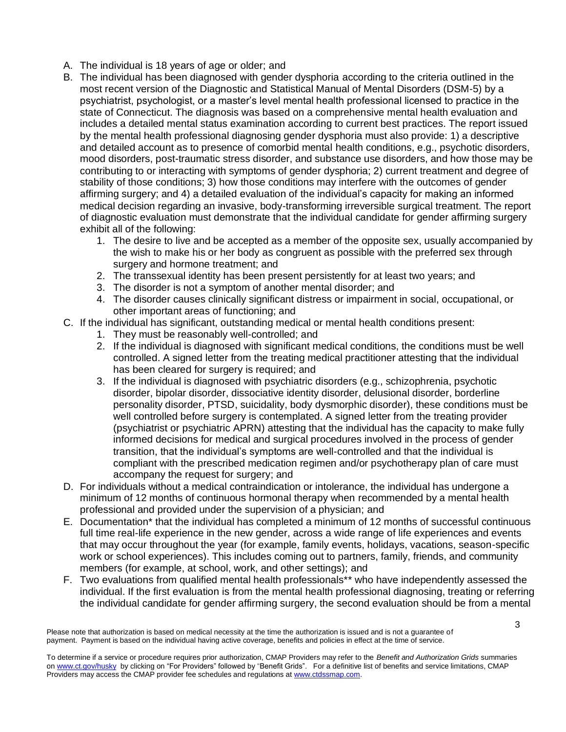- A. The individual is 18 years of age or older; and
- B. The individual has been diagnosed with gender dysphoria according to the criteria outlined in the most recent version of the Diagnostic and Statistical Manual of Mental Disorders (DSM-5) by a psychiatrist, psychologist, or a master's level mental health professional licensed to practice in the state of Connecticut. The diagnosis was based on a comprehensive mental health evaluation and includes a detailed mental status examination according to current best practices. The report issued by the mental health professional diagnosing gender dysphoria must also provide: 1) a descriptive and detailed account as to presence of comorbid mental health conditions, e.g., psychotic disorders, mood disorders, post-traumatic stress disorder, and substance use disorders, and how those may be contributing to or interacting with symptoms of gender dysphoria; 2) current treatment and degree of stability of those conditions; 3) how those conditions may interfere with the outcomes of gender affirming surgery; and 4) a detailed evaluation of the individual's capacity for making an informed medical decision regarding an invasive, body-transforming irreversible surgical treatment. The report of diagnostic evaluation must demonstrate that the individual candidate for gender affirming surgery exhibit all of the following:
	- 1. The desire to live and be accepted as a member of the opposite sex, usually accompanied by the wish to make his or her body as congruent as possible with the preferred sex through surgery and hormone treatment; and
	- 2. The transsexual identity has been present persistently for at least two years; and
	- 3. The disorder is not a symptom of another mental disorder; and
	- 4. The disorder causes clinically significant distress or impairment in social, occupational, or other important areas of functioning; and
- C. If the individual has significant, outstanding medical or mental health conditions present:
	- 1. They must be reasonably well-controlled; and
	- 2. If the individual is diagnosed with significant medical conditions, the conditions must be well controlled. A signed letter from the treating medical practitioner attesting that the individual has been cleared for surgery is required; and
	- 3. If the individual is diagnosed with psychiatric disorders (e.g., schizophrenia, psychotic disorder, bipolar disorder, dissociative identity disorder, delusional disorder, borderline personality disorder, PTSD, suicidality, body dysmorphic disorder), these conditions must be well controlled before surgery is contemplated. A signed letter from the treating provider (psychiatrist or psychiatric APRN) attesting that the individual has the capacity to make fully informed decisions for medical and surgical procedures involved in the process of gender transition, that the individual's symptoms are well-controlled and that the individual is compliant with the prescribed medication regimen and/or psychotherapy plan of care must accompany the request for surgery; and
- D. For individuals without a medical contraindication or intolerance, the individual has undergone a minimum of 12 months of continuous hormonal therapy when recommended by a mental health professional and provided under the supervision of a physician; and
- E. Documentation\* that the individual has completed a minimum of 12 months of successful continuous full time real-life experience in the new gender, across a wide range of life experiences and events that may occur throughout the year (for example, family events, holidays, vacations, season-specific work or school experiences). This includes coming out to partners, family, friends, and community members (for example, at school, work, and other settings); and
- F. Two evaluations from qualified mental health professionals\*\* who have independently assessed the individual. If the first evaluation is from the mental health professional diagnosing, treating or referring the individual candidate for gender affirming surgery, the second evaluation should be from a mental

Please note that authorization is based on medical necessity at the time the authorization is issued and is not a guarantee of payment. Payment is based on the individual having active coverage, benefits and policies in effect at the time of service.

To determine if a service or procedure requires prior authorization, CMAP Providers may refer to the *Benefit and Authorization Grids* summaries o[n www.ct.gov/husky](http://www.ct.gov/husky) by clickin[g on](http://www.huskyhealthct.org/providers/benefits_authorizations.html) "For Providers" followed by "Benefit Grids". For a definitive list of benefits and service limitations, CMAP Providers may access the CMAP provider fee schedules and regulations at [www.ctdssmap.com.](http://www.ctdssmap.com/)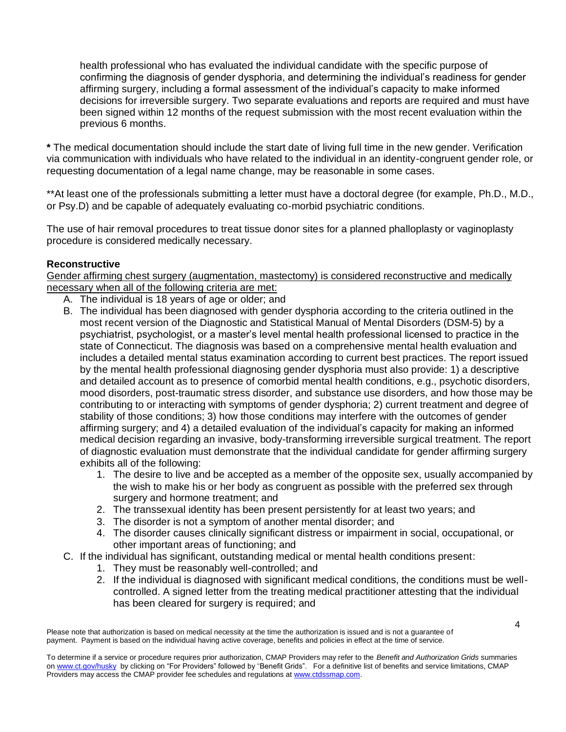health professional who has evaluated the individual candidate with the specific purpose of confirming the diagnosis of gender dysphoria, and determining the individual's readiness for gender affirming surgery, including a formal assessment of the individual's capacity to make informed decisions for irreversible surgery. Two separate evaluations and reports are required and must have been signed within 12 months of the request submission with the most recent evaluation within the previous 6 months.

**\*** The medical documentation should include the start date of living full time in the new gender. Verification via communication with individuals who have related to the individual in an identity-congruent gender role, or requesting documentation of a legal name change, may be reasonable in some cases.

\*\*At least one of the professionals submitting a letter must have a doctoral degree (for example, Ph.D., M.D., or Psy.D) and be capable of adequately evaluating co-morbid psychiatric conditions.

The use of hair removal procedures to treat tissue donor sites for a planned phalloplasty or vaginoplasty procedure is considered medically necessary.

## **Reconstructive**

Gender affirming chest surgery (augmentation, mastectomy) is considered reconstructive and medically necessary when all of the following criteria are met:

- A. The individual is 18 years of age or older; and
- B. The individual has been diagnosed with gender dysphoria according to the criteria outlined in the most recent version of the Diagnostic and Statistical Manual of Mental Disorders (DSM-5) by a psychiatrist, psychologist, or a master's level mental health professional licensed to practice in the state of Connecticut. The diagnosis was based on a comprehensive mental health evaluation and includes a detailed mental status examination according to current best practices. The report issued by the mental health professional diagnosing gender dysphoria must also provide: 1) a descriptive and detailed account as to presence of comorbid mental health conditions, e.g., psychotic disorders, mood disorders, post-traumatic stress disorder, and substance use disorders, and how those may be contributing to or interacting with symptoms of gender dysphoria; 2) current treatment and degree of stability of those conditions; 3) how those conditions may interfere with the outcomes of gender affirming surgery; and 4) a detailed evaluation of the individual's capacity for making an informed medical decision regarding an invasive, body-transforming irreversible surgical treatment. The report of diagnostic evaluation must demonstrate that the individual candidate for gender affirming surgery exhibits all of the following:
	- 1. The desire to live and be accepted as a member of the opposite sex, usually accompanied by the wish to make his or her body as congruent as possible with the preferred sex through surgery and hormone treatment; and
	- 2. The transsexual identity has been present persistently for at least two years; and
	- 3. The disorder is not a symptom of another mental disorder; and
	- 4. The disorder causes clinically significant distress or impairment in social, occupational, or other important areas of functioning; and
- C. If the individual has significant, outstanding medical or mental health conditions present:
	- 1. They must be reasonably well-controlled; and
	- 2. If the individual is diagnosed with significant medical conditions, the conditions must be wellcontrolled. A signed letter from the treating medical practitioner attesting that the individual has been cleared for surgery is required; and

Please note that authorization is based on medical necessity at the time the authorization is issued and is not a guarantee of payment. Payment is based on the individual having active coverage, benefits and policies in effect at the time of service.

To determine if a service or procedure requires prior authorization, CMAP Providers may refer to the *Benefit and Authorization Grids* summaries o[n www.ct.gov/husky](http://www.ct.gov/husky) by clickin[g on](http://www.huskyhealthct.org/providers/benefits_authorizations.html) "For Providers" followed by "Benefit Grids". For a definitive list of benefits and service limitations, CMAP Providers may access the CMAP provider fee schedules and regulations at [www.ctdssmap.com.](http://www.ctdssmap.com/)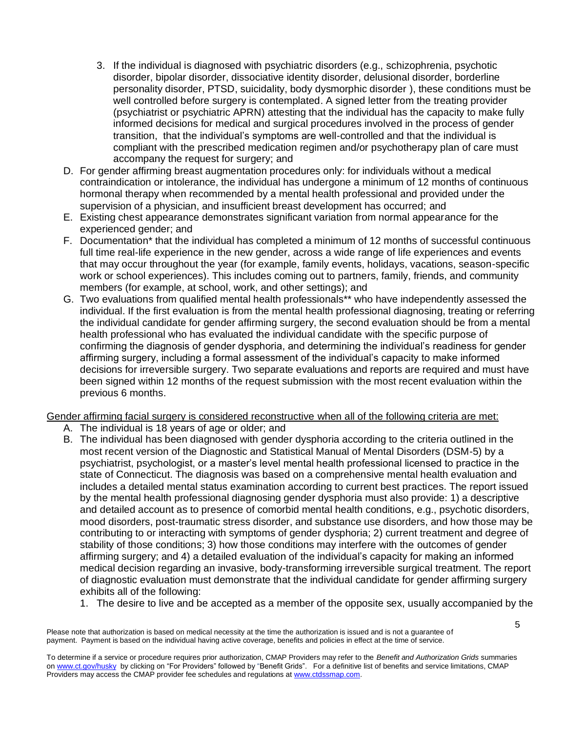- 3. If the individual is diagnosed with psychiatric disorders (e.g., schizophrenia, psychotic disorder, bipolar disorder, dissociative identity disorder, delusional disorder, borderline personality disorder, PTSD, suicidality, body dysmorphic disorder ), these conditions must be well controlled before surgery is contemplated. A signed letter from the treating provider (psychiatrist or psychiatric APRN) attesting that the individual has the capacity to make fully informed decisions for medical and surgical procedures involved in the process of gender transition, that the individual's symptoms are well-controlled and that the individual is compliant with the prescribed medication regimen and/or psychotherapy plan of care must accompany the request for surgery; and
- D. For gender affirming breast augmentation procedures only: for individuals without a medical contraindication or intolerance, the individual has undergone a minimum of 12 months of continuous hormonal therapy when recommended by a mental health professional and provided under the supervision of a physician, and insufficient breast development has occurred; and
- E. Existing chest appearance demonstrates significant variation from normal appearance for the experienced gender; and
- F. Documentation\* that the individual has completed a minimum of 12 months of successful continuous full time real-life experience in the new gender, across a wide range of life experiences and events that may occur throughout the year (for example, family events, holidays, vacations, season-specific work or school experiences). This includes coming out to partners, family, friends, and community members (for example, at school, work, and other settings); and
- G. Two evaluations from qualified mental health professionals\*\* who have independently assessed the individual. If the first evaluation is from the mental health professional diagnosing, treating or referring the individual candidate for gender affirming surgery, the second evaluation should be from a mental health professional who has evaluated the individual candidate with the specific purpose of confirming the diagnosis of gender dysphoria, and determining the individual's readiness for gender affirming surgery, including a formal assessment of the individual's capacity to make informed decisions for irreversible surgery. Two separate evaluations and reports are required and must have been signed within 12 months of the request submission with the most recent evaluation within the previous 6 months.

Gender affirming facial surgery is considered reconstructive when all of the following criteria are met:

- A. The individual is 18 years of age or older; and
- B. The individual has been diagnosed with gender dysphoria according to the criteria outlined in the most recent version of the Diagnostic and Statistical Manual of Mental Disorders (DSM-5) by a psychiatrist, psychologist, or a master's level mental health professional licensed to practice in the state of Connecticut. The diagnosis was based on a comprehensive mental health evaluation and includes a detailed mental status examination according to current best practices. The report issued by the mental health professional diagnosing gender dysphoria must also provide: 1) a descriptive and detailed account as to presence of comorbid mental health conditions, e.g., psychotic disorders, mood disorders, post-traumatic stress disorder, and substance use disorders, and how those may be contributing to or interacting with symptoms of gender dysphoria; 2) current treatment and degree of stability of those conditions; 3) how those conditions may interfere with the outcomes of gender affirming surgery; and 4) a detailed evaluation of the individual's capacity for making an informed medical decision regarding an invasive, body-transforming irreversible surgical treatment. The report of diagnostic evaluation must demonstrate that the individual candidate for gender affirming surgery exhibits all of the following:
	- 1. The desire to live and be accepted as a member of the opposite sex, usually accompanied by the

Please note that authorization is based on medical necessity at the time the authorization is issued and is not a guarantee of payment. Payment is based on the individual having active coverage, benefits and policies in effect at the time of service.

To determine if a service or procedure requires prior authorization, CMAP Providers may refer to the *Benefit and Authorization Grids* summaries o[n www.ct.gov/husky](http://www.ct.gov/husky) by clickin[g on](http://www.huskyhealthct.org/providers/benefits_authorizations.html) "For Providers" followed by "Benefit Grids". For a definitive list of benefits and service limitations, CMAP Providers may access the CMAP provider fee schedules and regulations at [www.ctdssmap.com.](http://www.ctdssmap.com/)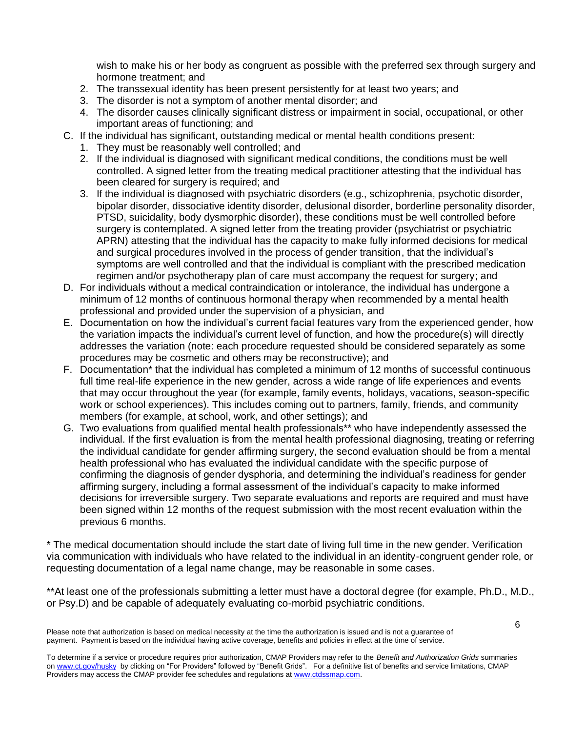wish to make his or her body as congruent as possible with the preferred sex through surgery and hormone treatment; and

- 2. The transsexual identity has been present persistently for at least two years; and
- 3. The disorder is not a symptom of another mental disorder; and
- 4. The disorder causes clinically significant distress or impairment in social, occupational, or other important areas of functioning; and
- C. If the individual has significant, outstanding medical or mental health conditions present:
	- 1. They must be reasonably well controlled; and
	- 2. If the individual is diagnosed with significant medical conditions, the conditions must be well controlled. A signed letter from the treating medical practitioner attesting that the individual has been cleared for surgery is required; and
	- 3. If the individual is diagnosed with psychiatric disorders (e.g., schizophrenia, psychotic disorder, bipolar disorder, dissociative identity disorder, delusional disorder, borderline personality disorder, PTSD, suicidality, body dysmorphic disorder), these conditions must be well controlled before surgery is contemplated. A signed letter from the treating provider (psychiatrist or psychiatric APRN) attesting that the individual has the capacity to make fully informed decisions for medical and surgical procedures involved in the process of gender transition, that the individual's symptoms are well controlled and that the individual is compliant with the prescribed medication regimen and/or psychotherapy plan of care must accompany the request for surgery; and
- D. For individuals without a medical contraindication or intolerance, the individual has undergone a minimum of 12 months of continuous hormonal therapy when recommended by a mental health professional and provided under the supervision of a physician, and
- E. Documentation on how the individual's current facial features vary from the experienced gender, how the variation impacts the individual's current level of function, and how the procedure(s) will directly addresses the variation (note: each procedure requested should be considered separately as some procedures may be cosmetic and others may be reconstructive); and
- F. Documentation\* that the individual has completed a minimum of 12 months of successful continuous full time real-life experience in the new gender, across a wide range of life experiences and events that may occur throughout the year (for example, family events, holidays, vacations, season-specific work or school experiences). This includes coming out to partners, family, friends, and community members (for example, at school, work, and other settings); and
- G. Two evaluations from qualified mental health professionals\*\* who have independently assessed the individual. If the first evaluation is from the mental health professional diagnosing, treating or referring the individual candidate for gender affirming surgery, the second evaluation should be from a mental health professional who has evaluated the individual candidate with the specific purpose of confirming the diagnosis of gender dysphoria, and determining the individual's readiness for gender affirming surgery, including a formal assessment of the individual's capacity to make informed decisions for irreversible surgery. Two separate evaluations and reports are required and must have been signed within 12 months of the request submission with the most recent evaluation within the previous 6 months.

\* The medical documentation should include the start date of living full time in the new gender. Verification via communication with individuals who have related to the individual in an identity-congruent gender role, or requesting documentation of a legal name change, may be reasonable in some cases.

\*\*At least one of the professionals submitting a letter must have a doctoral degree (for example, Ph.D., M.D., or Psy.D) and be capable of adequately evaluating co-morbid psychiatric conditions.

Please note that authorization is based on medical necessity at the time the authorization is issued and is not a guarantee of payment. Payment is based on the individual having active coverage, benefits and policies in effect at the time of service.

To determine if a service or procedure requires prior authorization, CMAP Providers may refer to the *Benefit and Authorization Grids* summaries o[n www.ct.gov/husky](http://www.ct.gov/husky) by clickin[g on](http://www.huskyhealthct.org/providers/benefits_authorizations.html) "For Providers" followed by "Benefit Grids". For a definitive list of benefits and service limitations, CMAP Providers may access the CMAP provider fee schedules and regulations at [www.ctdssmap.com.](http://www.ctdssmap.com/)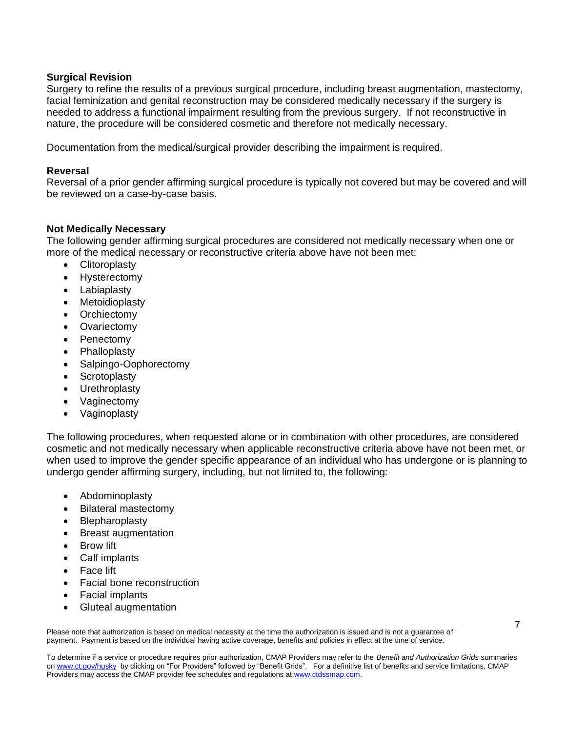#### **Surgical Revision**

Surgery to refine the results of a previous surgical procedure, including breast augmentation, mastectomy, facial feminization and genital reconstruction may be considered medically necessary if the surgery is needed to address a functional impairment resulting from the previous surgery. If not reconstructive in nature, the procedure will be considered cosmetic and therefore not medically necessary.

Documentation from the medical/surgical provider describing the impairment is required.

#### **Reversal**

Reversal of a prior gender affirming surgical procedure is typically not covered but may be covered and will be reviewed on a case-by-case basis.

#### **Not Medically Necessary**

The following gender affirming surgical procedures are considered not medically necessary when one or more of the medical necessary or reconstructive criteria above have not been met:

- Clitoroplasty
- Hysterectomy
- Labiaplasty
- **Metoidioplasty**
- **Orchiectomy**
- **Ovariectomy**
- **Penectomy**
- **Phalloplasty**
- Salpingo-Oophorectomy
- Scrotoplasty
- Urethroplasty
- Vaginectomy
- Vaginoplasty

The following procedures, when requested alone or in combination with other procedures, are considered cosmetic and not medically necessary when applicable reconstructive criteria above have not been met, or when used to improve the gender specific appearance of an individual who has undergone or is planning to undergo gender affirming surgery, including, but not limited to, the following:

- Abdominoplasty
- Bilateral mastectomy
- Blepharoplasty
- Breast augmentation
- **Brow lift**
- Calf implants
- Face lift
- Facial bone reconstruction
- Facial implants
- Gluteal augmentation

Please note that authorization is based on medical necessity at the time the authorization is issued and is not a guarantee of payment. Payment is based on the individual having active coverage, benefits and policies in effect at the time of service.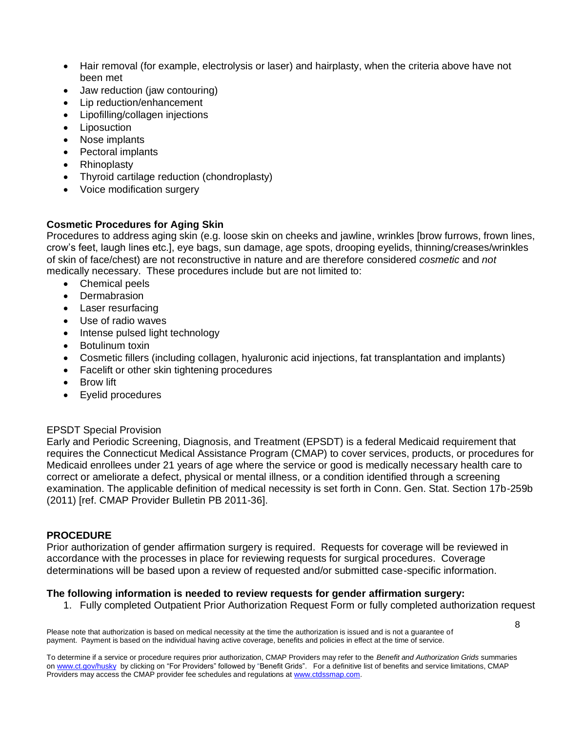- Hair removal (for example, electrolysis or laser) and hairplasty, when the criteria above have not been met
- Jaw reduction (jaw contouring)
- Lip reduction/enhancement
- Lipofilling/collagen injections
- **Liposuction**
- Nose implants
- Pectoral implants
- Rhinoplasty
- Thyroid cartilage reduction (chondroplasty)
- Voice modification surgery

# **Cosmetic Procedures for Aging Skin**

Procedures to address aging skin (e.g. loose skin on cheeks and jawline, wrinkles [brow furrows, frown lines, crow's feet, laugh lines etc.], eye bags, sun damage, age spots, drooping eyelids, thinning/creases/wrinkles of skin of face/chest) are not reconstructive in nature and are therefore considered *cosmetic* and *not* medically necessary. These procedures include but are not limited to:

- Chemical peels
- Dermabrasion
- Laser resurfacing
- Use of radio waves
- Intense pulsed light technology
- Botulinum toxin
- Cosmetic fillers (including collagen, hyaluronic acid injections, fat transplantation and implants)
- Facelift or other skin tightening procedures
- **Brow lift**
- Eyelid procedures

## EPSDT Special Provision

Early and Periodic Screening, Diagnosis, and Treatment (EPSDT) is a federal Medicaid requirement that requires the Connecticut Medical Assistance Program (CMAP) to cover services, products, or procedures for Medicaid enrollees under 21 years of age where the service or good is medically necessary health care to correct or ameliorate a defect, physical or mental illness, or a condition identified through a screening examination. The applicable definition of medical necessity is set forth in Conn. Gen. Stat. Section 17b-259b (2011) [ref. CMAP Provider Bulletin PB 2011-36].

## **PROCEDURE**

Prior authorization of gender affirmation surgery is required. Requests for coverage will be reviewed in accordance with the processes in place for reviewing requests for surgical procedures.Coverage determinations will be based upon a review of requested and/or submitted case-specific information.

# **The following information is needed to review requests for gender affirmation surgery:**

1. Fully completed Outpatient Prior Authorization Request Form or fully completed authorization request

Please note that authorization is based on medical necessity at the time the authorization is issued and is not a guarantee of payment. Payment is based on the individual having active coverage, benefits and policies in effect at the time of service.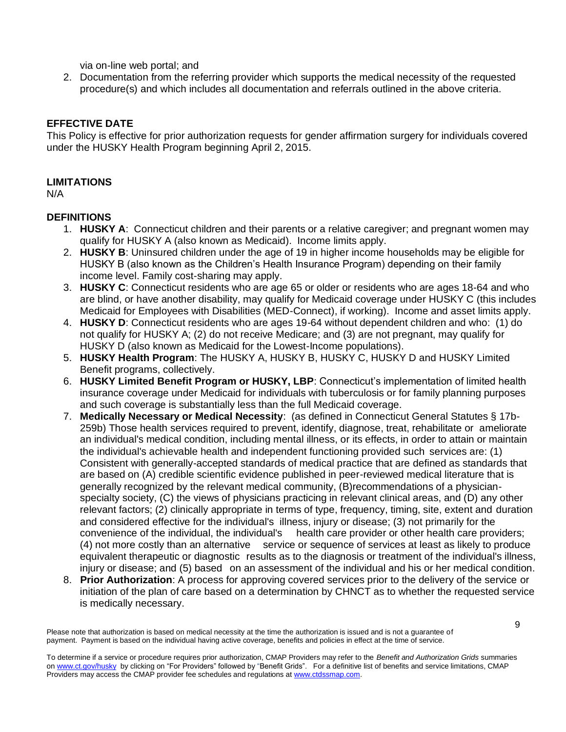via on-line web portal; and

2. Documentation from the referring provider which supports the medical necessity of the requested procedure(s) and which includes all documentation and referrals outlined in the above criteria.

# **EFFECTIVE DATE**

This Policy is effective for prior authorization requests for gender affirmation surgery for individuals covered under the HUSKY Health Program beginning April 2, 2015.

# **LIMITATIONS**

N/A

# **DEFINITIONS**

- 1. **HUSKY A**: Connecticut children and their parents or a relative caregiver; and pregnant women may qualify for HUSKY A (also known as Medicaid). Income limits apply.
- 2. **HUSKY B**: Uninsured children under the age of 19 in higher income households may be eligible for HUSKY B (also known as the Children's Health Insurance Program) depending on their family income level. Family cost-sharing may apply.
- 3. **HUSKY C**: Connecticut residents who are age 65 or older or residents who are ages 18-64 and who are blind, or have another disability, may qualify for Medicaid coverage under HUSKY C (this includes Medicaid for Employees with Disabilities (MED-Connect), if working). Income and asset limits apply.
- 4. **HUSKY D**: Connecticut residents who are ages 19-64 without dependent children and who: (1) do not qualify for HUSKY A; (2) do not receive Medicare; and (3) are not pregnant, may qualify for HUSKY D (also known as Medicaid for the Lowest-Income populations).
- 5. **HUSKY Health Program**: The HUSKY A, HUSKY B, HUSKY C, HUSKY D and HUSKY Limited Benefit programs, collectively.
- 6. **HUSKY Limited Benefit Program or HUSKY, LBP**: Connecticut's implementation of limited health insurance coverage under Medicaid for individuals with tuberculosis or for family planning purposes and such coverage is substantially less than the full Medicaid coverage.
- 7. **Medically Necessary or Medical Necessity**: (as defined in Connecticut General Statutes § 17b-259b) Those health services required to prevent, identify, diagnose, treat, rehabilitate or ameliorate an individual's medical condition, including mental illness, or its effects, in order to attain or maintain the individual's achievable health and independent functioning provided such services are: (1) Consistent with generally-accepted standards of medical practice that are defined as standards that are based on (A) credible scientific evidence published in peer-reviewed medical literature that is generally recognized by the relevant medical community, (B)recommendations of a physicianspecialty society, (C) the views of physicians practicing in relevant clinical areas, and (D) any other relevant factors; (2) clinically appropriate in terms of type, frequency, timing, site, extent and duration and considered effective for the individual's illness, injury or disease; (3) not primarily for the convenience of the individual, the individual's health care provider or other health care providers; (4) not more costly than an alternative service or sequence of services at least as likely to produce equivalent therapeutic or diagnostic results as to the diagnosis or treatment of the individual's illness, injury or disease; and (5) based on an assessment of the individual and his or her medical condition.
- 8. **Prior Authorization**: A process for approving covered services prior to the delivery of the service or initiation of the plan of care based on a determination by CHNCT as to whether the requested service is medically necessary.

Please note that authorization is based on medical necessity at the time the authorization is issued and is not a guarantee of payment. Payment is based on the individual having active coverage, benefits and policies in effect at the time of service.

To determine if a service or procedure requires prior authorization, CMAP Providers may refer to the *Benefit and Authorization Grids* summaries o[n www.ct.gov/husky](http://www.ct.gov/husky) by clickin[g on](http://www.huskyhealthct.org/providers/benefits_authorizations.html) "For Providers" followed by "Benefit Grids". For a definitive list of benefits and service limitations, CMAP Providers may access the CMAP provider fee schedules and regulations at [www.ctdssmap.com.](http://www.ctdssmap.com/)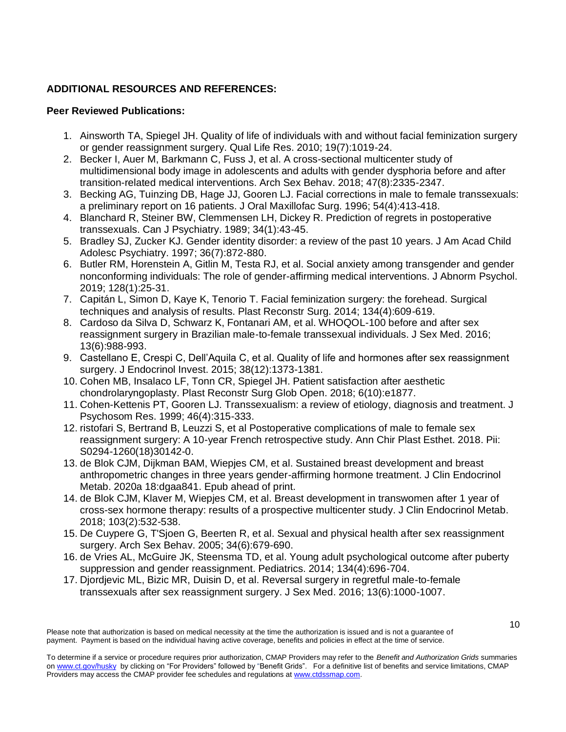## **ADDITIONAL RESOURCES AND REFERENCES:**

#### **Peer Reviewed Publications:**

- 1. Ainsworth TA, Spiegel JH. Quality of life of individuals with and without facial feminization surgery or gender reassignment surgery. Qual Life Res. 2010; 19(7):1019-24.
- 2. Becker I, Auer M, Barkmann C, Fuss J, et al. A cross-sectional multicenter study of multidimensional body image in adolescents and adults with gender dysphoria before and after transition-related medical interventions. Arch Sex Behav. 2018; 47(8):2335-2347.
- 3. Becking AG, Tuinzing DB, Hage JJ, Gooren LJ. Facial corrections in male to female transsexuals: a preliminary report on 16 patients. J Oral Maxillofac Surg. 1996; 54(4):413-418.
- 4. Blanchard R, Steiner BW, Clemmensen LH, Dickey R. Prediction of regrets in postoperative transsexuals. Can J Psychiatry. 1989; 34(1):43-45.
- 5. Bradley SJ, Zucker KJ. Gender identity disorder: a review of the past 10 years. J Am Acad Child Adolesc Psychiatry. 1997; 36(7):872-880.
- 6. Butler RM, Horenstein A, Gitlin M, Testa RJ, et al. Social anxiety among transgender and gender nonconforming individuals: The role of gender-affirming medical interventions. J Abnorm Psychol. 2019; 128(1):25-31.
- 7. Capitán L, Simon D, Kaye K, Tenorio T. Facial feminization surgery: the forehead. Surgical techniques and analysis of results. Plast Reconstr Surg. 2014; 134(4):609-619.
- 8. Cardoso da Silva D, Schwarz K, Fontanari AM, et al. WHOQOL-100 before and after sex reassignment surgery in Brazilian male-to-female transsexual individuals. J Sex Med. 2016; 13(6):988-993.
- 9. Castellano E, Crespi C, Dell'Aquila C, et al. Quality of life and hormones after sex reassignment surgery. J Endocrinol Invest. 2015; 38(12):1373-1381.
- 10. Cohen MB, Insalaco LF, Tonn CR, Spiegel JH. Patient satisfaction after aesthetic chondrolaryngoplasty. Plast Reconstr Surg Glob Open. 2018; 6(10):e1877.
- 11. Cohen-Kettenis PT, Gooren LJ. Transsexualism: a review of etiology, diagnosis and treatment. J Psychosom Res. 1999; 46(4):315-333.
- 12. ristofari S, Bertrand B, Leuzzi S, et al Postoperative complications of male to female sex reassignment surgery: A 10-year French retrospective study. Ann Chir Plast Esthet. 2018. Pii: S0294-1260(18)30142-0.
- 13. de Blok CJM, Dijkman BAM, Wiepjes CM, et al. Sustained breast development and breast anthropometric changes in three years gender-affirming hormone treatment. J Clin Endocrinol Metab. 2020a 18:dgaa841. Epub ahead of print.
- 14. de Blok CJM, Klaver M, Wiepjes CM, et al. Breast development in transwomen after 1 year of cross-sex hormone therapy: results of a prospective multicenter study. J Clin Endocrinol Metab. 2018; 103(2):532-538.
- 15. De Cuypere G, T'Sjoen G, Beerten R, et al. Sexual and physical health after sex reassignment surgery. Arch Sex Behav. 2005; 34(6):679-690.
- 16. de Vries AL, McGuire JK, Steensma TD, et al. Young adult psychological outcome after puberty suppression and gender reassignment. Pediatrics. 2014; 134(4):696-704.
- 17. Djordjevic ML, Bizic MR, Duisin D, et al. Reversal surgery in regretful male-to-female transsexuals after sex reassignment surgery. J Sex Med. 2016; 13(6):1000-1007.

Please note that authorization is based on medical necessity at the time the authorization is issued and is not a guarantee of payment. Payment is based on the individual having active coverage, benefits and policies in effect at the time of service.

To determine if a service or procedure requires prior authorization, CMAP Providers may refer to the *Benefit and Authorization Grids* summaries o[n www.ct.gov/husky](http://www.ct.gov/husky) by clickin[g on](http://www.huskyhealthct.org/providers/benefits_authorizations.html) "For Providers" followed by "Benefit Grids". For a definitive list of benefits and service limitations, CMAP Providers may access the CMAP provider fee schedules and regulations at [www.ctdssmap.com.](http://www.ctdssmap.com/)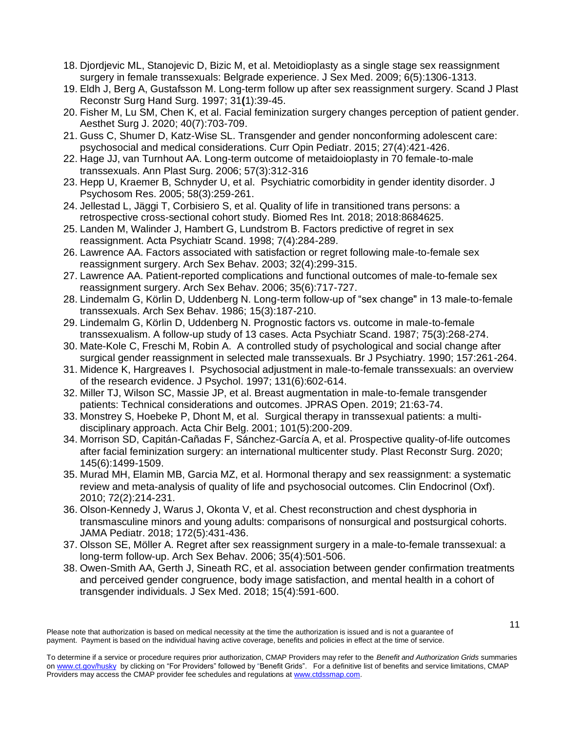- 18. Djordjevic ML, Stanojevic D, Bizic M, et al. Metoidioplasty as a single stage sex reassignment surgery in female transsexuals: Belgrade experience. J Sex Med. 2009; 6(5):1306-1313.
- 19. Eldh J, Berg A, Gustafsson M. Long-term follow up after sex reassignment surgery. Scand J Plast Reconstr Surg Hand Surg. 1997; 31**(**1):39-45.
- 20. Fisher M, Lu SM, Chen K, et al. Facial feminization surgery changes perception of patient gender. Aesthet Surg J. 2020; 40(7):703-709.
- 21. Guss C, Shumer D, Katz-Wise SL. Transgender and gender nonconforming adolescent care: psychosocial and medical considerations. Curr Opin Pediatr. 2015; 27(4):421-426.
- 22. Hage JJ, van Turnhout AA. Long-term outcome of metaidoioplasty in 70 female-to-male transsexuals. Ann Plast Surg. 2006; 57(3):312-316
- 23. Hepp U, Kraemer B, Schnyder U, et al. Psychiatric comorbidity in gender identity disorder. J Psychosom Res. 2005; 58(3):259-261.
- 24. Jellestad L, Jäggi T, Corbisiero S, et al. Quality of life in transitioned trans persons: a retrospective cross-sectional cohort study. Biomed Res Int. 2018; 2018:8684625.
- 25. Landen M, Walinder J, Hambert G, Lundstrom B. Factors predictive of regret in sex reassignment. Acta Psychiatr Scand. 1998; 7(4):284-289.
- 26. Lawrence AA. Factors associated with satisfaction or regret following male-to-female sex reassignment surgery. Arch Sex Behav. 2003; 32(4):299-315.
- 27. Lawrence AA. Patient-reported complications and functional outcomes of male-to-female sex reassignment surgery. Arch Sex Behav. 2006; 35(6):717-727.
- 28. Lindemalm G, Körlin D, Uddenberg N. Long-term follow-up of "sex change" in 13 male-to-female transsexuals. Arch Sex Behav. 1986; 15(3):187-210.
- 29. Lindemalm G, Körlin D, Uddenberg N. Prognostic factors vs. outcome in male-to-female transsexualism. A follow-up study of 13 cases. Acta Psychiatr Scand. 1987; 75(3):268-274.
- 30. Mate-Kole C, Freschi M, Robin A. A controlled study of psychological and social change after surgical gender reassignment in selected male transsexuals. Br J Psychiatry. 1990; 157:261-264.
- 31. Midence K, Hargreaves I. Psychosocial adjustment in male-to-female transsexuals: an overview of the research evidence. J Psychol. 1997; 131(6):602-614.
- 32. Miller TJ, Wilson SC, Massie JP, et al. Breast augmentation in male-to-female transgender patients: Technical considerations and outcomes. JPRAS Open. 2019; 21:63-74.
- 33. Monstrey S, Hoebeke P, Dhont M, et al. Surgical therapy in transsexual patients: a multidisciplinary approach. Acta Chir Belg. 2001; 101(5):200-209.
- 34. Morrison SD, Capitán-Cañadas F, Sánchez-García A, et al. Prospective quality-of-life outcomes after facial feminization surgery: an international multicenter study. Plast Reconstr Surg. 2020; 145(6):1499-1509.
- 35. Murad MH, Elamin MB, Garcia MZ, et al. Hormonal therapy and sex reassignment: a systematic review and meta-analysis of quality of life and psychosocial outcomes. Clin Endocrinol (Oxf). 2010; 72(2):214-231.
- 36. Olson-Kennedy J, Warus J, Okonta V, et al. Chest reconstruction and chest dysphoria in transmasculine minors and young adults: comparisons of nonsurgical and postsurgical cohorts. JAMA Pediatr. 2018; 172(5):431-436.
- 37. Olsson SE, Möller A. Regret after sex reassignment surgery in a male-to-female transsexual: a long-term follow-up. Arch Sex Behav. 2006; 35(4):501-506.
- 38. Owen-Smith AA, Gerth J, Sineath RC, et al. association between gender confirmation treatments and perceived gender congruence, body image satisfaction, and mental health in a cohort of transgender individuals. J Sex Med. 2018; 15(4):591-600.

Please note that authorization is based on medical necessity at the time the authorization is issued and is not a guarantee of payment. Payment is based on the individual having active coverage, benefits and policies in effect at the time of service.

To determine if a service or procedure requires prior authorization, CMAP Providers may refer to the *Benefit and Authorization Grids* summaries o[n www.ct.gov/husky](http://www.ct.gov/husky) by clickin[g on](http://www.huskyhealthct.org/providers/benefits_authorizations.html) "For Providers" followed by "Benefit Grids". For a definitive list of benefits and service limitations, CMAP Providers may access the CMAP provider fee schedules and regulations at [www.ctdssmap.com.](http://www.ctdssmap.com/)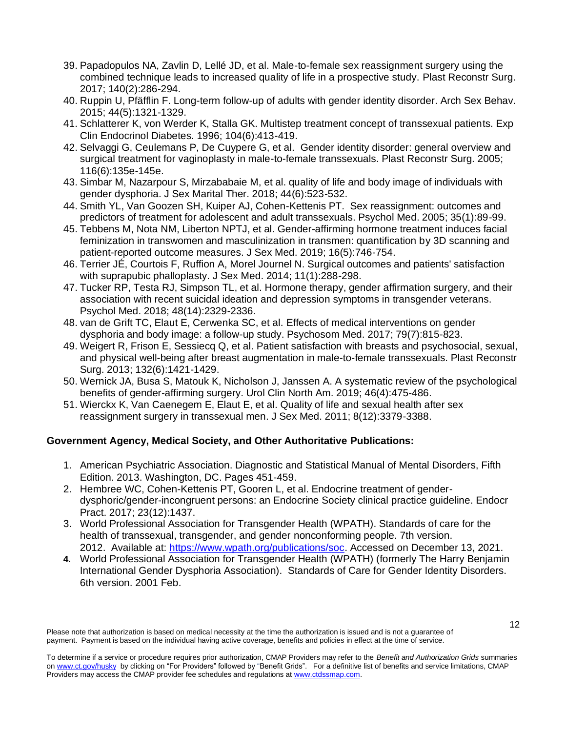- 39. Papadopulos NA, Zavlin D, Lellé JD, et al. Male-to-female sex reassignment surgery using the combined technique leads to increased quality of life in a prospective study. Plast Reconstr Surg. 2017; 140(2):286-294.
- 40. Ruppin U, Pfäfflin F. Long-term follow-up of adults with gender identity disorder. Arch Sex Behav. 2015; 44(5):1321-1329.
- 41. Schlatterer K, von Werder K, Stalla GK. Multistep treatment concept of transsexual patients. Exp Clin Endocrinol Diabetes. 1996; 104(6):413-419.
- 42. Selvaggi G, Ceulemans P, De Cuypere G, et al. Gender identity disorder: general overview and surgical treatment for vaginoplasty in male-to-female transsexuals. Plast Reconstr Surg. 2005; 116(6):135e-145e.
- 43. Simbar M, Nazarpour S, Mirzababaie M, et al. quality of life and body image of individuals with gender dysphoria. J Sex Marital Ther. 2018; 44(6):523-532.
- 44. Smith YL, Van Goozen SH, Kuiper AJ, Cohen-Kettenis PT. Sex reassignment: outcomes and predictors of treatment for adolescent and adult transsexuals. Psychol Med. 2005; 35(1):89-99.
- 45. Tebbens M, Nota NM, Liberton NPTJ, et al. Gender-affirming hormone treatment induces facial feminization in transwomen and masculinization in transmen: quantification by 3D scanning and patient-reported outcome measures. J Sex Med. 2019; 16(5):746-754.
- 46. Terrier JÉ, Courtois F, Ruffion A, Morel Journel N. Surgical outcomes and patients' satisfaction with suprapubic phalloplasty. J Sex Med. 2014; 11(1):288-298.
- 47. Tucker RP, Testa RJ, Simpson TL, et al. Hormone therapy, gender affirmation surgery, and their association with recent suicidal ideation and depression symptoms in transgender veterans. Psychol Med. 2018; 48(14):2329-2336.
- 48. van de Grift TC, Elaut E, Cerwenka SC, et al. Effects of medical interventions on gender dysphoria and body image: a follow-up study. Psychosom Med. 2017; 79(7):815-823.
- 49. Weigert R, Frison E, Sessiecq Q, et al. Patient satisfaction with breasts and psychosocial, sexual, and physical well-being after breast augmentation in male-to-female transsexuals. Plast Reconstr Surg. 2013; 132(6):1421-1429.
- 50. Wernick JA, Busa S, Matouk K, Nicholson J, Janssen A. A systematic review of the psychological benefits of gender-affirming surgery. Urol Clin North Am. 2019; 46(4):475-486.
- 51. Wierckx K, Van Caenegem E, Elaut E, et al. Quality of life and sexual health after sex reassignment surgery in transsexual men. J Sex Med. 2011; 8(12):3379-3388.

# **Government Agency, Medical Society, and Other Authoritative Publications:**

- 1. American Psychiatric Association. Diagnostic and Statistical Manual of Mental Disorders, Fifth Edition. 2013. Washington, DC. Pages 451-459.
- 2. Hembree WC, Cohen-Kettenis PT, Gooren L, et al. Endocrine treatment of genderdysphoric/gender-incongruent persons: an Endocrine Society clinical practice guideline. Endocr Pract. 2017; 23(12):1437.
- 3. World Professional Association for Transgender Health (WPATH). Standards of care for the health of transsexual, transgender, and gender nonconforming people. 7th version. 2012. Available at: [https://www.wpath.org/publications/soc.](https://www.wpath.org/publications/soc) Accessed on December 13, 2021.
- **4.** World Professional Association for Transgender Health (WPATH) (formerly The Harry Benjamin International Gender Dysphoria Association). Standards of Care for Gender Identity Disorders. 6th version. 2001 Feb.

To determine if a service or procedure requires prior authorization, CMAP Providers may refer to the *Benefit and Authorization Grids* summaries o[n www.ct.gov/husky](http://www.ct.gov/husky) by clickin[g on](http://www.huskyhealthct.org/providers/benefits_authorizations.html) "For Providers" followed by "Benefit Grids". For a definitive list of benefits and service limitations, CMAP Providers may access the CMAP provider fee schedules and regulations at [www.ctdssmap.com.](http://www.ctdssmap.com/)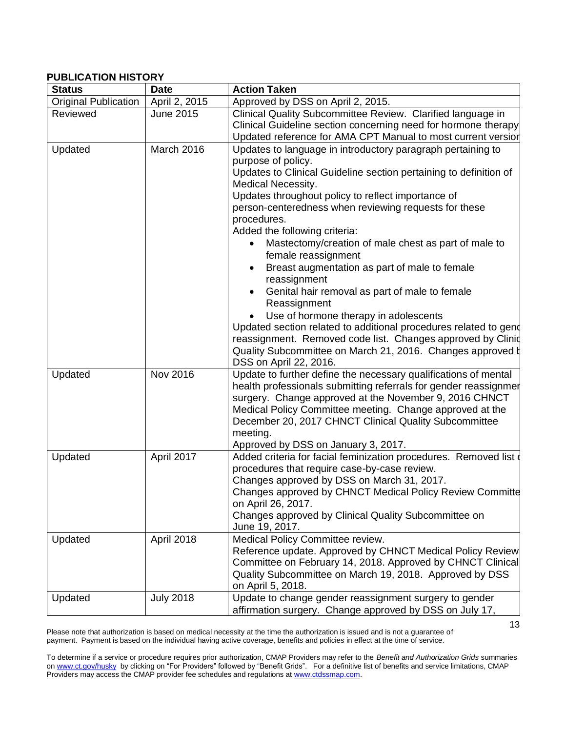#### **PUBLICATION HISTORY**

| <b>Status</b>               | <b>Date</b>       | <b>Action Taken</b>                                                                                                                                                                                                                                                                                                                                                                                                                                                                                                                                                                                                                                                                                                                                                                                                                                   |
|-----------------------------|-------------------|-------------------------------------------------------------------------------------------------------------------------------------------------------------------------------------------------------------------------------------------------------------------------------------------------------------------------------------------------------------------------------------------------------------------------------------------------------------------------------------------------------------------------------------------------------------------------------------------------------------------------------------------------------------------------------------------------------------------------------------------------------------------------------------------------------------------------------------------------------|
| <b>Original Publication</b> | April 2, 2015     | Approved by DSS on April 2, 2015.                                                                                                                                                                                                                                                                                                                                                                                                                                                                                                                                                                                                                                                                                                                                                                                                                     |
| Reviewed                    | <b>June 2015</b>  | Clinical Quality Subcommittee Review. Clarified language in<br>Clinical Guideline section concerning need for hormone therapy<br>Updated reference for AMA CPT Manual to most current version                                                                                                                                                                                                                                                                                                                                                                                                                                                                                                                                                                                                                                                         |
| Updated                     | <b>March 2016</b> | Updates to language in introductory paragraph pertaining to<br>purpose of policy.<br>Updates to Clinical Guideline section pertaining to definition of<br><b>Medical Necessity.</b><br>Updates throughout policy to reflect importance of<br>person-centeredness when reviewing requests for these<br>procedures.<br>Added the following criteria:<br>Mastectomy/creation of male chest as part of male to<br>female reassignment<br>Breast augmentation as part of male to female<br>$\bullet$<br>reassignment<br>Genital hair removal as part of male to female<br>Reassignment<br>Use of hormone therapy in adolescents<br>Updated section related to additional procedures related to gend<br>reassignment. Removed code list. Changes approved by Clinid<br>Quality Subcommittee on March 21, 2016. Changes approved b<br>DSS on April 22, 2016. |
| Updated                     | <b>Nov 2016</b>   | Update to further define the necessary qualifications of mental<br>health professionals submitting referrals for gender reassignmer<br>surgery. Change approved at the November 9, 2016 CHNCT<br>Medical Policy Committee meeting. Change approved at the<br>December 20, 2017 CHNCT Clinical Quality Subcommittee<br>meeting.<br>Approved by DSS on January 3, 2017.                                                                                                                                                                                                                                                                                                                                                                                                                                                                                 |
| Updated                     | April 2017        | Added criteria for facial feminization procedures. Removed list of<br>procedures that require case-by-case review.<br>Changes approved by DSS on March 31, 2017.<br>Changes approved by CHNCT Medical Policy Review Committe<br>on April 26, 2017.<br>Changes approved by Clinical Quality Subcommittee on<br>June 19, 2017.                                                                                                                                                                                                                                                                                                                                                                                                                                                                                                                          |
| Updated                     | April 2018        | Medical Policy Committee review.<br>Reference update. Approved by CHNCT Medical Policy Review<br>Committee on February 14, 2018. Approved by CHNCT Clinical<br>Quality Subcommittee on March 19, 2018. Approved by DSS<br>on April 5, 2018.                                                                                                                                                                                                                                                                                                                                                                                                                                                                                                                                                                                                           |
| Updated                     | <b>July 2018</b>  | Update to change gender reassignment surgery to gender<br>affirmation surgery. Change approved by DSS on July 17,                                                                                                                                                                                                                                                                                                                                                                                                                                                                                                                                                                                                                                                                                                                                     |

To determine if a service or procedure requires prior authorization, CMAP Providers may refer to the *Benefit and Authorization Grids* summaries o[n www.ct.gov/husky](http://www.ct.gov/husky) by clickin[g on](http://www.huskyhealthct.org/providers/benefits_authorizations.html) "For Providers" followed by "Benefit Grids". For a definitive list of benefits and service limitations, CMAP Providers may access the CMAP provider fee schedules and regulations at [www.ctdssmap.com.](http://www.ctdssmap.com/)

13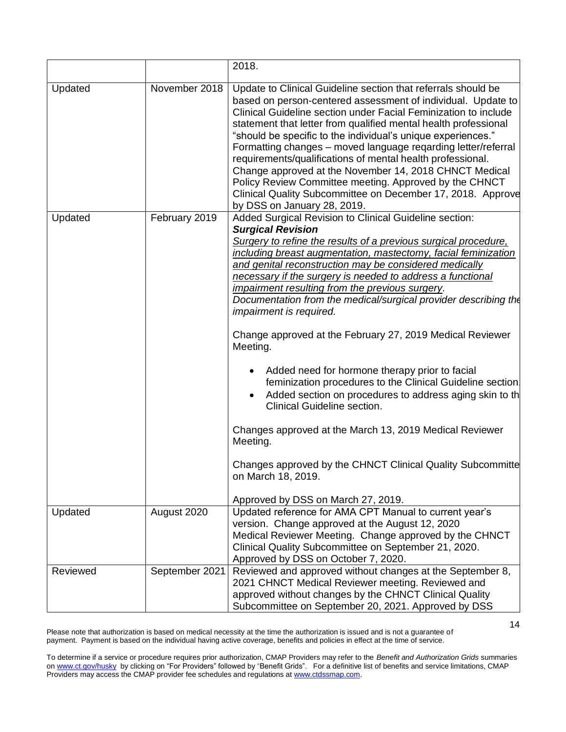|          |                | 2018.                                                                                                                                                                                                                                                                                                                                                                                                                                                                                                                                                                                                                                                                                                                                                                                                                                                                                                                                                                                           |
|----------|----------------|-------------------------------------------------------------------------------------------------------------------------------------------------------------------------------------------------------------------------------------------------------------------------------------------------------------------------------------------------------------------------------------------------------------------------------------------------------------------------------------------------------------------------------------------------------------------------------------------------------------------------------------------------------------------------------------------------------------------------------------------------------------------------------------------------------------------------------------------------------------------------------------------------------------------------------------------------------------------------------------------------|
| Updated  | November 2018  | Update to Clinical Guideline section that referrals should be<br>based on person-centered assessment of individual. Update to<br>Clinical Guideline section under Facial Feminization to include<br>statement that letter from qualified mental health professional<br>"should be specific to the individual's unique experiences."<br>Formatting changes - moved language reqarding letter/referral<br>requirements/qualifications of mental health professional.<br>Change approved at the November 14, 2018 CHNCT Medical<br>Policy Review Committee meeting. Approved by the CHNCT<br>Clinical Quality Subcommittee on December 17, 2018. Approve<br>by DSS on January 28, 2019.                                                                                                                                                                                                                                                                                                            |
| Updated  | February 2019  | Added Surgical Revision to Clinical Guideline section:<br><b>Surgical Revision</b><br>Surgery to refine the results of a previous surgical procedure,<br>including breast augmentation, mastectomy, facial feminization<br>and genital reconstruction may be considered medically<br>necessary if the surgery is needed to address a functional<br>impairment resulting from the previous surgery.<br>Documentation from the medical/surgical provider describing the<br><i>impairment is required.</i><br>Change approved at the February 27, 2019 Medical Reviewer<br>Meeting.<br>Added need for hormone therapy prior to facial<br>٠<br>feminization procedures to the Clinical Guideline section<br>Added section on procedures to address aging skin to th<br>Clinical Guideline section.<br>Changes approved at the March 13, 2019 Medical Reviewer<br>Meeting.<br>Changes approved by the CHNCT Clinical Quality Subcommitte<br>on March 18, 2019.<br>Approved by DSS on March 27, 2019. |
| Updated  | August 2020    | Updated reference for AMA CPT Manual to current year's<br>version. Change approved at the August 12, 2020<br>Medical Reviewer Meeting. Change approved by the CHNCT<br>Clinical Quality Subcommittee on September 21, 2020.<br>Approved by DSS on October 7, 2020.                                                                                                                                                                                                                                                                                                                                                                                                                                                                                                                                                                                                                                                                                                                              |
| Reviewed | September 2021 | Reviewed and approved without changes at the September 8,<br>2021 CHNCT Medical Reviewer meeting. Reviewed and<br>approved without changes by the CHNCT Clinical Quality<br>Subcommittee on September 20, 2021. Approved by DSS                                                                                                                                                                                                                                                                                                                                                                                                                                                                                                                                                                                                                                                                                                                                                                 |

Please note that authorization is based on medical necessity at the time the authorization is issued and is not a guarantee of payment. Payment is based on the individual having active coverage, benefits and policies in effect at the time of service.